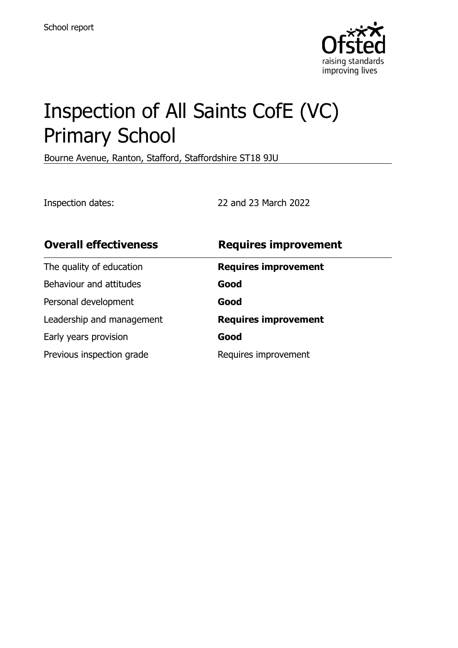

# Inspection of All Saints CofE (VC) Primary School

Bourne Avenue, Ranton, Stafford, Staffordshire ST18 9JU

Inspection dates: 22 and 23 March 2022

| <b>Overall effectiveness</b> | <b>Requires improvement</b> |
|------------------------------|-----------------------------|
| The quality of education     | <b>Requires improvement</b> |
| Behaviour and attitudes      | Good                        |
| Personal development         | Good                        |
| Leadership and management    | <b>Requires improvement</b> |
| Early years provision        | Good                        |
| Previous inspection grade    | Requires improvement        |
|                              |                             |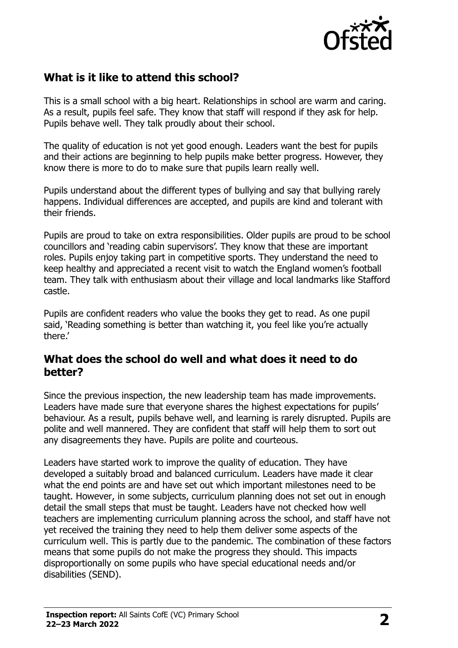

## **What is it like to attend this school?**

This is a small school with a big heart. Relationships in school are warm and caring. As a result, pupils feel safe. They know that staff will respond if they ask for help. Pupils behave well. They talk proudly about their school.

The quality of education is not yet good enough. Leaders want the best for pupils and their actions are beginning to help pupils make better progress. However, they know there is more to do to make sure that pupils learn really well.

Pupils understand about the different types of bullying and say that bullying rarely happens. Individual differences are accepted, and pupils are kind and tolerant with their friends.

Pupils are proud to take on extra responsibilities. Older pupils are proud to be school councillors and 'reading cabin supervisors'. They know that these are important roles. Pupils enjoy taking part in competitive sports. They understand the need to keep healthy and appreciated a recent visit to watch the England women's football team. They talk with enthusiasm about their village and local landmarks like Stafford castle.

Pupils are confident readers who value the books they get to read. As one pupil said, 'Reading something is better than watching it, you feel like you're actually there.'

#### **What does the school do well and what does it need to do better?**

Since the previous inspection, the new leadership team has made improvements. Leaders have made sure that everyone shares the highest expectations for pupils' behaviour. As a result, pupils behave well, and learning is rarely disrupted. Pupils are polite and well mannered. They are confident that staff will help them to sort out any disagreements they have. Pupils are polite and courteous.

Leaders have started work to improve the quality of education. They have developed a suitably broad and balanced curriculum. Leaders have made it clear what the end points are and have set out which important milestones need to be taught. However, in some subjects, curriculum planning does not set out in enough detail the small steps that must be taught. Leaders have not checked how well teachers are implementing curriculum planning across the school, and staff have not yet received the training they need to help them deliver some aspects of the curriculum well. This is partly due to the pandemic. The combination of these factors means that some pupils do not make the progress they should. This impacts disproportionally on some pupils who have special educational needs and/or disabilities (SEND).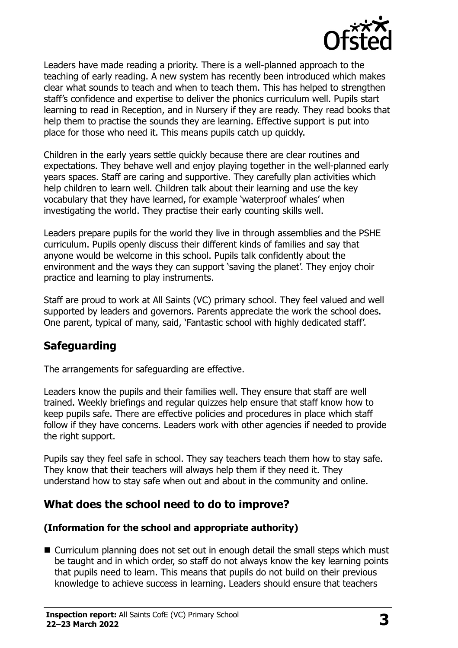

Leaders have made reading a priority. There is a well-planned approach to the teaching of early reading. A new system has recently been introduced which makes clear what sounds to teach and when to teach them. This has helped to strengthen staff's confidence and expertise to deliver the phonics curriculum well. Pupils start learning to read in Reception, and in Nursery if they are ready. They read books that help them to practise the sounds they are learning. Effective support is put into place for those who need it. This means pupils catch up quickly.

Children in the early years settle quickly because there are clear routines and expectations. They behave well and enjoy playing together in the well-planned early years spaces. Staff are caring and supportive. They carefully plan activities which help children to learn well. Children talk about their learning and use the key vocabulary that they have learned, for example 'waterproof whales' when investigating the world. They practise their early counting skills well.

Leaders prepare pupils for the world they live in through assemblies and the PSHE curriculum. Pupils openly discuss their different kinds of families and say that anyone would be welcome in this school. Pupils talk confidently about the environment and the ways they can support 'saving the planet'. They enjoy choir practice and learning to play instruments.

Staff are proud to work at All Saints (VC) primary school. They feel valued and well supported by leaders and governors. Parents appreciate the work the school does. One parent, typical of many, said, 'Fantastic school with highly dedicated staff'.

## **Safeguarding**

The arrangements for safeguarding are effective.

Leaders know the pupils and their families well. They ensure that staff are well trained. Weekly briefings and regular quizzes help ensure that staff know how to keep pupils safe. There are effective policies and procedures in place which staff follow if they have concerns. Leaders work with other agencies if needed to provide the right support.

Pupils say they feel safe in school. They say teachers teach them how to stay safe. They know that their teachers will always help them if they need it. They understand how to stay safe when out and about in the community and online.

## **What does the school need to do to improve?**

#### **(Information for the school and appropriate authority)**

■ Curriculum planning does not set out in enough detail the small steps which must be taught and in which order, so staff do not always know the key learning points that pupils need to learn. This means that pupils do not build on their previous knowledge to achieve success in learning. Leaders should ensure that teachers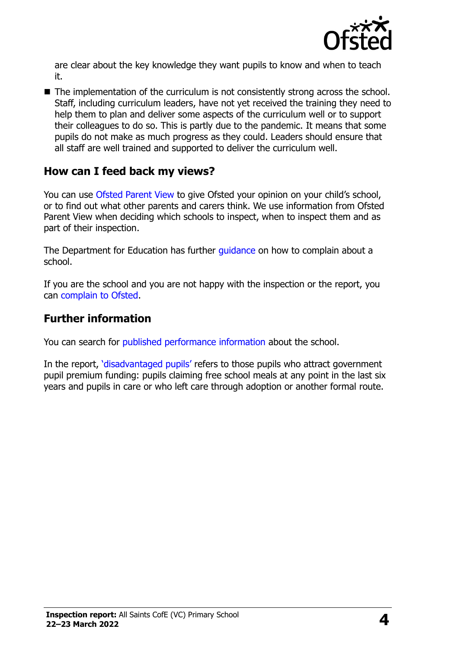

are clear about the key knowledge they want pupils to know and when to teach it.

■ The implementation of the curriculum is not consistently strong across the school. Staff, including curriculum leaders, have not yet received the training they need to help them to plan and deliver some aspects of the curriculum well or to support their colleagues to do so. This is partly due to the pandemic. It means that some pupils do not make as much progress as they could. Leaders should ensure that all staff are well trained and supported to deliver the curriculum well.

#### **How can I feed back my views?**

You can use [Ofsted Parent View](http://parentview.ofsted.gov.uk/) to give Ofsted your opinion on your child's school, or to find out what other parents and carers think. We use information from Ofsted Parent View when deciding which schools to inspect, when to inspect them and as part of their inspection.

The Department for Education has further quidance on how to complain about a school.

If you are the school and you are not happy with the inspection or the report, you can [complain to Ofsted.](http://www.gov.uk/complain-ofsted-report)

#### **Further information**

You can search for [published performance information](http://www.compare-school-performance.service.gov.uk/) about the school.

In the report, '[disadvantaged pupils](http://www.gov.uk/guidance/pupil-premium-information-for-schools-and-alternative-provision-settings)' refers to those pupils who attract government pupil premium funding: pupils claiming free school meals at any point in the last six years and pupils in care or who left care through adoption or another formal route.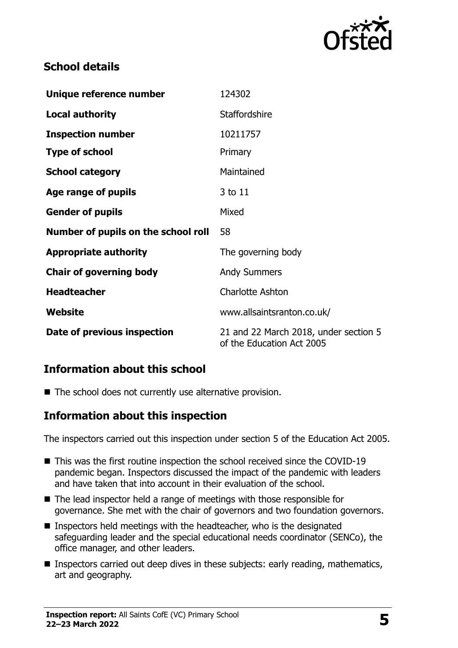

## **School details**

| Unique reference number             | 124302                                                             |
|-------------------------------------|--------------------------------------------------------------------|
| <b>Local authority</b>              | <b>Staffordshire</b>                                               |
| <b>Inspection number</b>            | 10211757                                                           |
| <b>Type of school</b>               | Primary                                                            |
| <b>School category</b>              | Maintained                                                         |
| Age range of pupils                 | 3 to 11                                                            |
| <b>Gender of pupils</b>             | Mixed                                                              |
| Number of pupils on the school roll | 58                                                                 |
| <b>Appropriate authority</b>        | The governing body                                                 |
| <b>Chair of governing body</b>      | <b>Andy Summers</b>                                                |
| <b>Headteacher</b>                  | <b>Charlotte Ashton</b>                                            |
| Website                             | www.allsaintsranton.co.uk/                                         |
| Date of previous inspection         | 21 and 22 March 2018, under section 5<br>of the Education Act 2005 |

#### **Information about this school**

■ The school does not currently use alternative provision.

#### **Information about this inspection**

The inspectors carried out this inspection under section 5 of the Education Act 2005.

- This was the first routine inspection the school received since the COVID-19 pandemic began. Inspectors discussed the impact of the pandemic with leaders and have taken that into account in their evaluation of the school.
- The lead inspector held a range of meetings with those responsible for governance. She met with the chair of governors and two foundation governors.
- $\blacksquare$  Inspectors held meetings with the headteacher, who is the designated safeguarding leader and the special educational needs coordinator (SENCo), the office manager, and other leaders.
- **Inspectors carried out deep dives in these subjects: early reading, mathematics,** art and geography.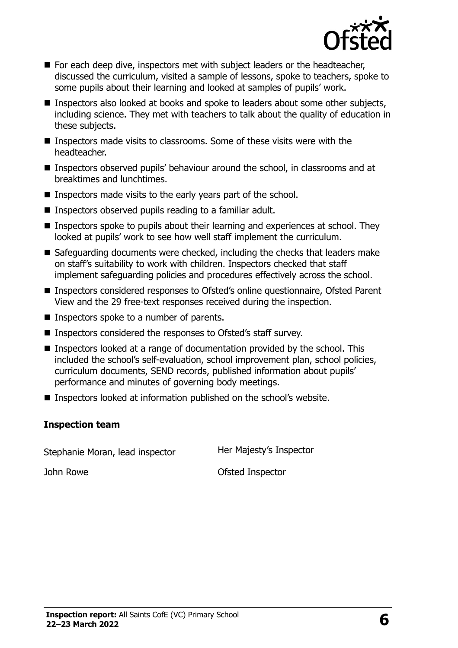

- **For each deep dive, inspectors met with subject leaders or the headteacher,** discussed the curriculum, visited a sample of lessons, spoke to teachers, spoke to some pupils about their learning and looked at samples of pupils' work.
- Inspectors also looked at books and spoke to leaders about some other subjects, including science. They met with teachers to talk about the quality of education in these subjects.
- **Inspectors made visits to classrooms. Some of these visits were with the** headteacher.
- Inspectors observed pupils' behaviour around the school, in classrooms and at breaktimes and lunchtimes.
- Inspectors made visits to the early years part of the school.
- Inspectors observed pupils reading to a familiar adult.
- Inspectors spoke to pupils about their learning and experiences at school. They looked at pupils' work to see how well staff implement the curriculum.
- Safeguarding documents were checked, including the checks that leaders make on staff's suitability to work with children. Inspectors checked that staff implement safeguarding policies and procedures effectively across the school.
- Inspectors considered responses to Ofsted's online questionnaire, Ofsted Parent View and the 29 free-text responses received during the inspection.
- Inspectors spoke to a number of parents.
- Inspectors considered the responses to Ofsted's staff survey.
- Inspectors looked at a range of documentation provided by the school. This included the school's self-evaluation, school improvement plan, school policies, curriculum documents, SEND records, published information about pupils' performance and minutes of governing body meetings.
- Inspectors looked at information published on the school's website.

#### **Inspection team**

Stephanie Moran, lead inspector Her Majesty's Inspector

John Rowe **Ofsted Inspector**